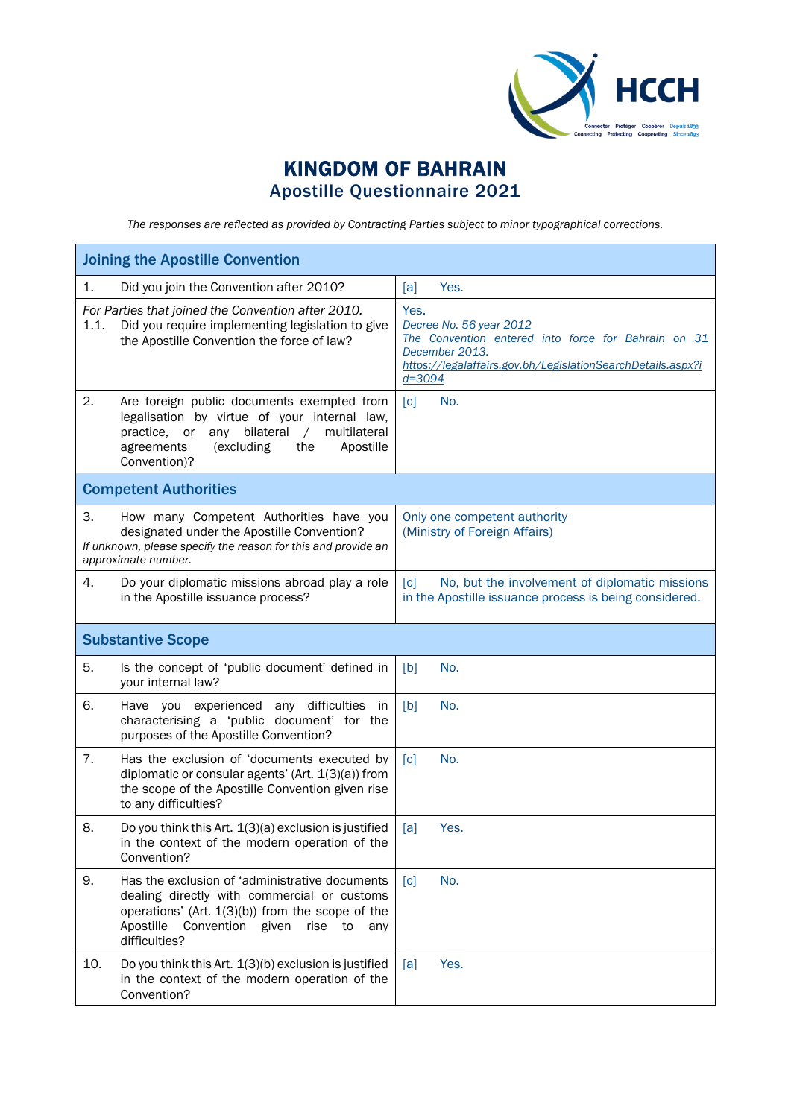

## KINGDOM OF BAHRAIN Apostille Questionnaire 2021

*The responses are reflected as provided by Contracting Parties subject to minor typographical corrections.*

|      | <b>Joining the Apostille Convention</b>                                                                                                                                                                                      |                                                                                                                                                                                       |  |  |
|------|------------------------------------------------------------------------------------------------------------------------------------------------------------------------------------------------------------------------------|---------------------------------------------------------------------------------------------------------------------------------------------------------------------------------------|--|--|
| 1.   | Did you join the Convention after 2010?                                                                                                                                                                                      | Yes.<br>[a]                                                                                                                                                                           |  |  |
| 1.1. | For Parties that joined the Convention after 2010.<br>Did you require implementing legislation to give<br>the Apostille Convention the force of law?                                                                         | Yes.<br>Decree No. 56 year 2012<br>The Convention entered into force for Bahrain on 31<br>December 2013.<br>https://legalaffairs.gov.bh/LegislationSearchDetails.aspx?i<br>$d = 3094$ |  |  |
| 2.   | Are foreign public documents exempted from<br>legalisation by virtue of your internal law,<br>bilateral<br>multilateral<br>practice, or<br>any<br>$\sqrt{2}$<br>agreements<br>the<br>Apostille<br>(excluding<br>Convention)? | No.<br>$\lceil c \rceil$                                                                                                                                                              |  |  |
|      | <b>Competent Authorities</b>                                                                                                                                                                                                 |                                                                                                                                                                                       |  |  |
| 3.   | How many Competent Authorities have you<br>designated under the Apostille Convention?<br>If unknown, please specify the reason for this and provide an<br>approximate number.                                                | Only one competent authority<br>(Ministry of Foreign Affairs)                                                                                                                         |  |  |
| 4.   | Do your diplomatic missions abroad play a role<br>in the Apostille issuance process?                                                                                                                                         | No, but the involvement of diplomatic missions<br>$\lceil c \rceil$<br>in the Apostille issuance process is being considered.                                                         |  |  |
|      | <b>Substantive Scope</b>                                                                                                                                                                                                     |                                                                                                                                                                                       |  |  |
| 5.   | Is the concept of 'public document' defined in<br>your internal law?                                                                                                                                                         | No.<br>[b]                                                                                                                                                                            |  |  |
| 6.   | Have you experienced any difficulties<br>in<br>characterising a 'public document' for the<br>purposes of the Apostille Convention?                                                                                           | [b]<br>No.                                                                                                                                                                            |  |  |
| 7.   | Has the exclusion of 'documents executed by<br>diplomatic or consular agents' (Art. 1(3)(a)) from<br>the scope of the Apostille Convention given rise<br>to any difficulties?                                                | No.<br>$\lceil c \rceil$                                                                                                                                                              |  |  |
| 8.   | Do you think this Art. $1(3)(a)$ exclusion is justified<br>in the context of the modern operation of the<br>Convention?                                                                                                      | Yes.<br>[a]                                                                                                                                                                           |  |  |
| 9.   | Has the exclusion of 'administrative documents<br>dealing directly with commercial or customs<br>operations' (Art. $1(3)(b)$ ) from the scope of the<br>Apostille<br>Convention given<br>rise<br>to<br>any<br>difficulties?  | No.<br>$\lceil c \rceil$                                                                                                                                                              |  |  |
| 10.  | Do you think this Art. 1(3)(b) exclusion is justified<br>in the context of the modern operation of the<br>Convention?                                                                                                        | Yes.<br>[a]                                                                                                                                                                           |  |  |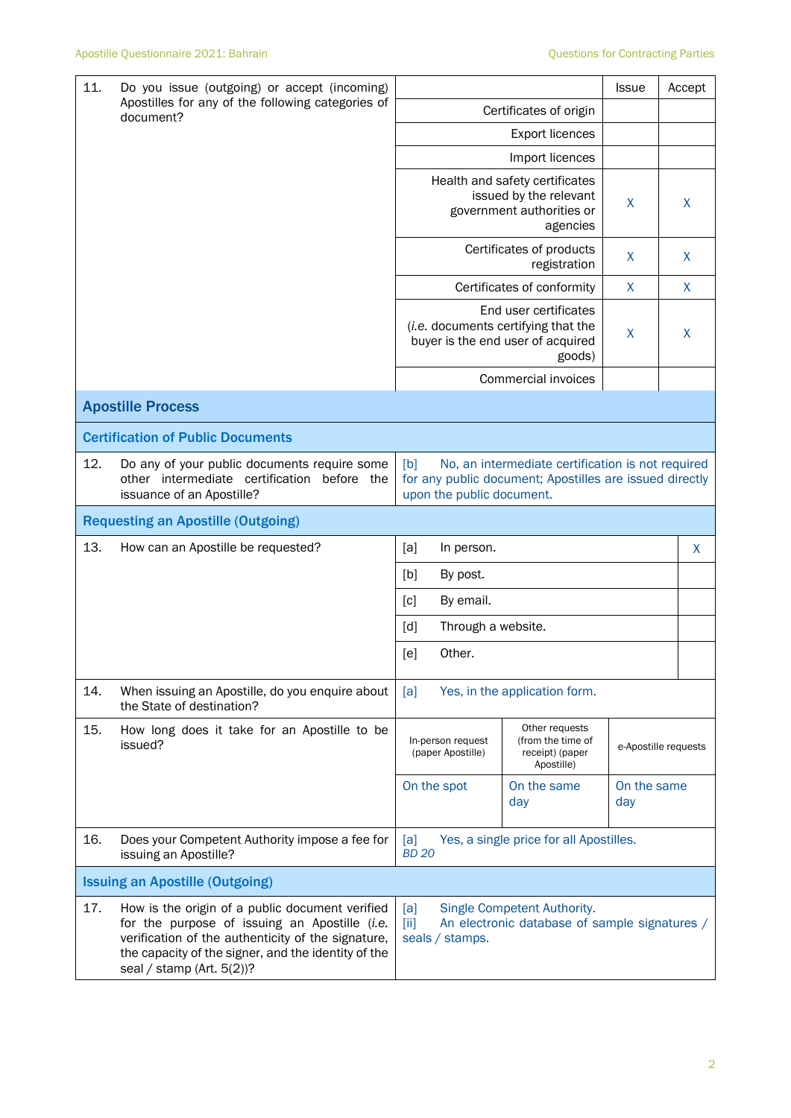| 11.<br>Do you issue (outgoing) or accept (incoming)<br>Apostilles for any of the following categories of<br>document? |                                                                                                                                                                                                                                            |                                                                                                                                                  | <b>Issue</b>    |                                                                              | Accept               |   |   |
|-----------------------------------------------------------------------------------------------------------------------|--------------------------------------------------------------------------------------------------------------------------------------------------------------------------------------------------------------------------------------------|--------------------------------------------------------------------------------------------------------------------------------------------------|-----------------|------------------------------------------------------------------------------|----------------------|---|---|
|                                                                                                                       |                                                                                                                                                                                                                                            | Certificates of origin                                                                                                                           |                 |                                                                              |                      |   |   |
|                                                                                                                       |                                                                                                                                                                                                                                            |                                                                                                                                                  |                 | <b>Export licences</b>                                                       |                      |   |   |
|                                                                                                                       |                                                                                                                                                                                                                                            |                                                                                                                                                  |                 | Import licences                                                              |                      |   |   |
|                                                                                                                       |                                                                                                                                                                                                                                            | Health and safety certificates<br>issued by the relevant<br>government authorities or<br>agencies                                                |                 |                                                                              | X                    |   | X |
|                                                                                                                       |                                                                                                                                                                                                                                            | Certificates of products<br>registration                                                                                                         |                 |                                                                              | X                    | X |   |
|                                                                                                                       |                                                                                                                                                                                                                                            |                                                                                                                                                  |                 | Certificates of conformity                                                   | $\boldsymbol{X}$     |   | X |
|                                                                                                                       |                                                                                                                                                                                                                                            | End user certificates<br>(i.e. documents certifying that the<br>buyer is the end user of acquired<br>goods)                                      |                 |                                                                              | X                    |   | X |
|                                                                                                                       |                                                                                                                                                                                                                                            |                                                                                                                                                  |                 | Commercial invoices                                                          |                      |   |   |
|                                                                                                                       | <b>Apostille Process</b>                                                                                                                                                                                                                   |                                                                                                                                                  |                 |                                                                              |                      |   |   |
|                                                                                                                       | <b>Certification of Public Documents</b>                                                                                                                                                                                                   |                                                                                                                                                  |                 |                                                                              |                      |   |   |
| 12.                                                                                                                   | Do any of your public documents require some<br>other intermediate certification before the<br>issuance of an Apostille?                                                                                                                   | [b]<br>No, an intermediate certification is not required<br>for any public document; Apostilles are issued directly<br>upon the public document. |                 |                                                                              |                      |   |   |
|                                                                                                                       | <b>Requesting an Apostille (Outgoing)</b>                                                                                                                                                                                                  |                                                                                                                                                  |                 |                                                                              |                      |   |   |
| 13.                                                                                                                   | How can an Apostille be requested?                                                                                                                                                                                                         | [a]                                                                                                                                              | In person.      |                                                                              |                      |   | X |
|                                                                                                                       |                                                                                                                                                                                                                                            | [b]                                                                                                                                              | By post.        |                                                                              |                      |   |   |
|                                                                                                                       |                                                                                                                                                                                                                                            | $\lceil c \rceil$                                                                                                                                | By email.       |                                                                              |                      |   |   |
|                                                                                                                       |                                                                                                                                                                                                                                            | Through a website.<br>[d]                                                                                                                        |                 |                                                                              |                      |   |   |
|                                                                                                                       |                                                                                                                                                                                                                                            | [e]                                                                                                                                              | Other.          |                                                                              |                      |   |   |
| 14.                                                                                                                   | When issuing an Apostille, do you enquire about<br>the State of destination?                                                                                                                                                               | [a]                                                                                                                                              |                 | Yes, in the application form.                                                |                      |   |   |
| 15.                                                                                                                   | How long does it take for an Apostille to be<br>issued?                                                                                                                                                                                    | In-person request<br>(paper Apostille)                                                                                                           |                 | Other requests<br>(from the time of<br>receipt) (paper<br>Apostille)         | e-Apostille requests |   |   |
|                                                                                                                       |                                                                                                                                                                                                                                            | On the spot                                                                                                                                      |                 | On the same<br>day                                                           | On the same<br>day   |   |   |
| 16.                                                                                                                   | Does your Competent Authority impose a fee for<br>issuing an Apostille?                                                                                                                                                                    | [a]<br><b>BD 20</b>                                                                                                                              |                 | Yes, a single price for all Apostilles.                                      |                      |   |   |
|                                                                                                                       | <b>Issuing an Apostille (Outgoing)</b>                                                                                                                                                                                                     |                                                                                                                                                  |                 |                                                                              |                      |   |   |
| 17.                                                                                                                   | How is the origin of a public document verified<br>for the purpose of issuing an Apostille (i.e.<br>verification of the authenticity of the signature,<br>the capacity of the signer, and the identity of the<br>seal / stamp (Art. 5(2))? | [a]<br>[ii]                                                                                                                                      | seals / stamps. | Single Competent Authority.<br>An electronic database of sample signatures / |                      |   |   |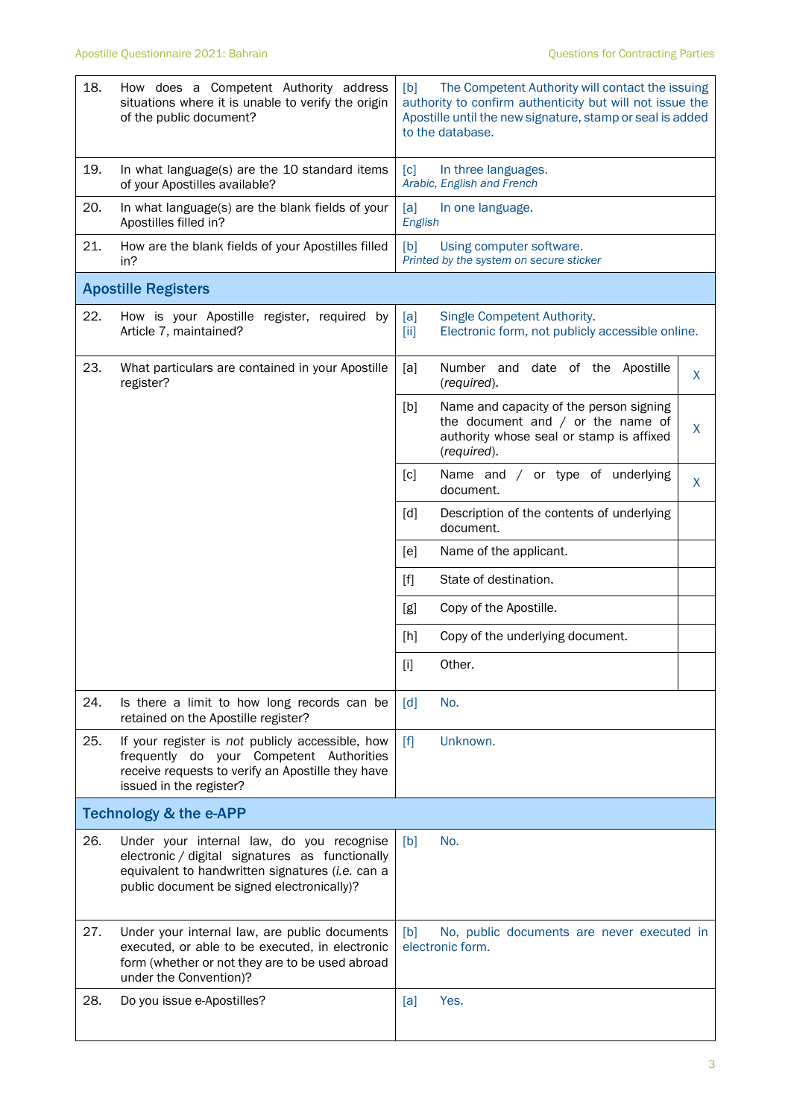| 18.                               | How does a Competent Authority address<br>situations where it is unable to verify the origin<br>of the public document?                                                                        | The Competent Authority will contact the issuing<br>[b]<br>authority to confirm authenticity but will not issue the<br>Apostille until the new signature, stamp or seal is added<br>to the database. |         |  |  |
|-----------------------------------|------------------------------------------------------------------------------------------------------------------------------------------------------------------------------------------------|------------------------------------------------------------------------------------------------------------------------------------------------------------------------------------------------------|---------|--|--|
| 19.                               | In what language(s) are the 10 standard items<br>of your Apostilles available?                                                                                                                 | [c]<br>In three languages.<br>Arabic, English and French                                                                                                                                             |         |  |  |
| 20.                               | In what language(s) are the blank fields of your<br>Apostilles filled in?                                                                                                                      | [a]<br>In one language.<br>English                                                                                                                                                                   |         |  |  |
| 21.                               | How are the blank fields of your Apostilles filled<br>in?                                                                                                                                      | Using computer software.<br>[b]<br>Printed by the system on secure sticker                                                                                                                           |         |  |  |
|                                   | <b>Apostille Registers</b>                                                                                                                                                                     |                                                                                                                                                                                                      |         |  |  |
| 22.                               | How is your Apostille register, required by<br>Article 7, maintained?                                                                                                                          | Single Competent Authority.<br>[a]<br>[iii]<br>Electronic form, not publicly accessible online.                                                                                                      |         |  |  |
| 23.                               | What particulars are contained in your Apostille<br>register?                                                                                                                                  | Number and date of the Apostille<br>[a]<br>(required).                                                                                                                                               | X       |  |  |
|                                   |                                                                                                                                                                                                | Name and capacity of the person signing<br>[b]<br>the document and $/$ or the name of<br>authority whose seal or stamp is affixed<br>(required).                                                     | $\sf X$ |  |  |
|                                   |                                                                                                                                                                                                | [c]<br>Name and / or type of underlying<br>document.                                                                                                                                                 | X       |  |  |
|                                   |                                                                                                                                                                                                | Description of the contents of underlying<br>[d]<br>document.                                                                                                                                        |         |  |  |
|                                   |                                                                                                                                                                                                | [e]<br>Name of the applicant.                                                                                                                                                                        |         |  |  |
|                                   |                                                                                                                                                                                                | State of destination.<br>$[f]$                                                                                                                                                                       |         |  |  |
|                                   |                                                                                                                                                                                                | Copy of the Apostille.<br>[g]                                                                                                                                                                        |         |  |  |
|                                   |                                                                                                                                                                                                | Copy of the underlying document.<br>[h]                                                                                                                                                              |         |  |  |
|                                   |                                                                                                                                                                                                | Other.<br>$[1]$                                                                                                                                                                                      |         |  |  |
| 24.                               | Is there a limit to how long records can be<br>retained on the Apostille register?                                                                                                             | $\lceil d \rceil$<br>No.                                                                                                                                                                             |         |  |  |
| 25.                               | If your register is not publicly accessible, how<br>frequently do your Competent Authorities<br>receive requests to verify an Apostille they have<br>issued in the register?                   | [f]<br>Unknown.                                                                                                                                                                                      |         |  |  |
| <b>Technology &amp; the e-APP</b> |                                                                                                                                                                                                |                                                                                                                                                                                                      |         |  |  |
| 26.                               | Under your internal law, do you recognise<br>electronic / digital signatures as functionally<br>equivalent to handwritten signatures (i.e. can a<br>public document be signed electronically)? | No.<br>[b]                                                                                                                                                                                           |         |  |  |
| 27.                               | Under your internal law, are public documents<br>executed, or able to be executed, in electronic<br>form (whether or not they are to be used abroad<br>under the Convention)?                  | [b]<br>No, public documents are never executed in<br>electronic form.                                                                                                                                |         |  |  |
| 28.                               | Do you issue e-Apostilles?                                                                                                                                                                     | Yes.<br>[a]                                                                                                                                                                                          |         |  |  |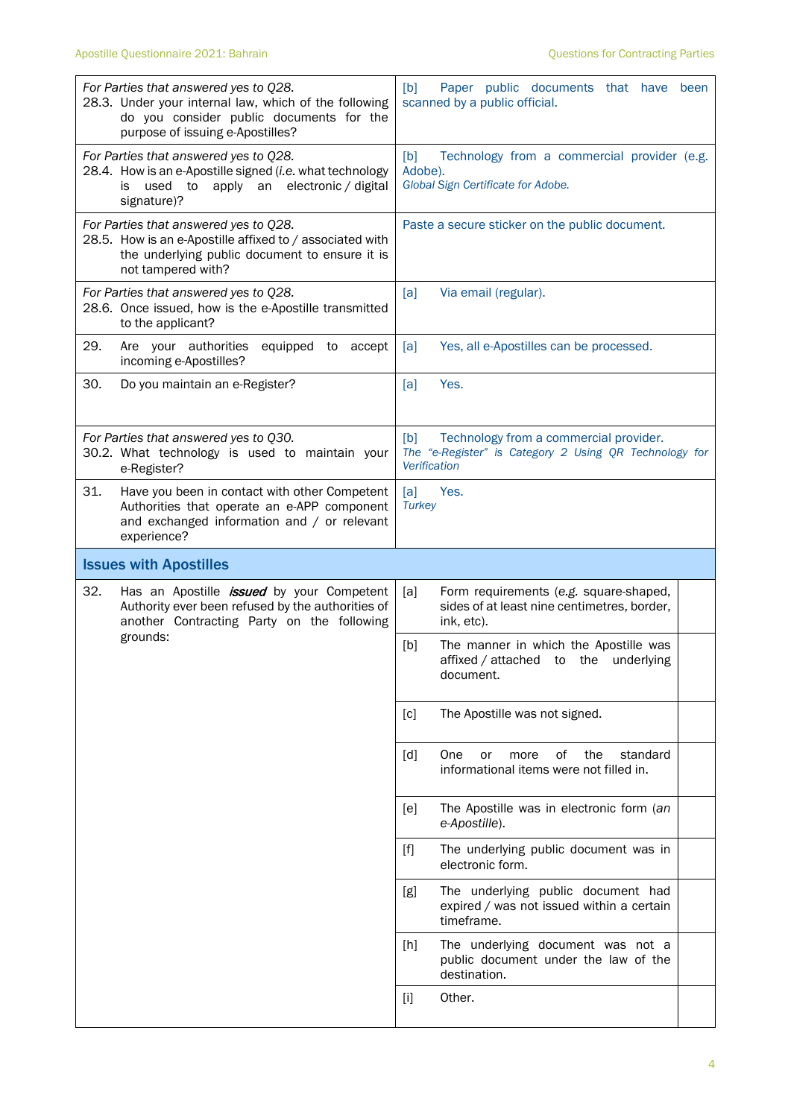| For Parties that answered yes to Q28.<br>28.3. Under your internal law, which of the following<br>do you consider public documents for the<br>purpose of issuing e-Apostilles? | [b]<br>Paper public documents that have<br>been<br>scanned by a public official.                                        |  |  |
|--------------------------------------------------------------------------------------------------------------------------------------------------------------------------------|-------------------------------------------------------------------------------------------------------------------------|--|--|
| For Parties that answered yes to Q28.<br>28.4. How is an e-Apostille signed (i.e. what technology<br>used<br>apply an electronic / digital<br>to<br>İS.<br>signature)?         | Technology from a commercial provider (e.g.<br>[b]<br>Adobe).<br>Global Sign Certificate for Adobe.                     |  |  |
| For Parties that answered yes to Q28.<br>28.5. How is an e-Apostille affixed to / associated with<br>the underlying public document to ensure it is<br>not tampered with?      | Paste a secure sticker on the public document.                                                                          |  |  |
| For Parties that answered yes to Q28.<br>28.6. Once issued, how is the e-Apostille transmitted<br>to the applicant?                                                            | [a]<br>Via email (regular).                                                                                             |  |  |
| 29.<br>equipped to accept<br>Are your authorities<br>incoming e-Apostilles?                                                                                                    | Yes, all e-Apostilles can be processed.<br>[a]                                                                          |  |  |
| 30.<br>Do you maintain an e-Register?                                                                                                                                          | Yes.<br>[a]                                                                                                             |  |  |
| For Parties that answered yes to Q30.<br>30.2. What technology is used to maintain your<br>e-Register?                                                                         | Technology from a commercial provider.<br>[b]<br>The "e-Register" is Category 2 Using QR Technology for<br>Verification |  |  |
| 31.<br>Have you been in contact with other Competent<br>Authorities that operate an e-APP component<br>and exchanged information and / or relevant<br>experience?              | Yes.<br>[a]<br><b>Turkey</b>                                                                                            |  |  |
|                                                                                                                                                                                |                                                                                                                         |  |  |
| <b>Issues with Apostilles</b>                                                                                                                                                  |                                                                                                                         |  |  |
| 32.<br>Has an Apostille <i>issued</i> by your Competent<br>Authority ever been refused by the authorities of<br>another Contracting Party on the following                     | [a]<br>Form requirements (e.g. square-shaped,<br>sides of at least nine centimetres, border,<br>ink, etc).              |  |  |
| grounds:                                                                                                                                                                       | The manner in which the Apostille was<br>[b]<br>affixed / attached to the underlying<br>document.                       |  |  |
|                                                                                                                                                                                | The Apostille was not signed.<br>[c]                                                                                    |  |  |
|                                                                                                                                                                                | the<br>[d]<br>One<br>of<br>standard<br>or<br>more<br>informational items were not filled in.                            |  |  |
|                                                                                                                                                                                | The Apostille was in electronic form (an<br>[e]<br>e-Apostille).                                                        |  |  |
|                                                                                                                                                                                | The underlying public document was in<br>$[f]$<br>electronic form.                                                      |  |  |
|                                                                                                                                                                                | The underlying public document had<br>[g]<br>expired / was not issued within a certain<br>timeframe.                    |  |  |
|                                                                                                                                                                                | The underlying document was not a<br>$[h]$<br>public document under the law of the<br>destination.                      |  |  |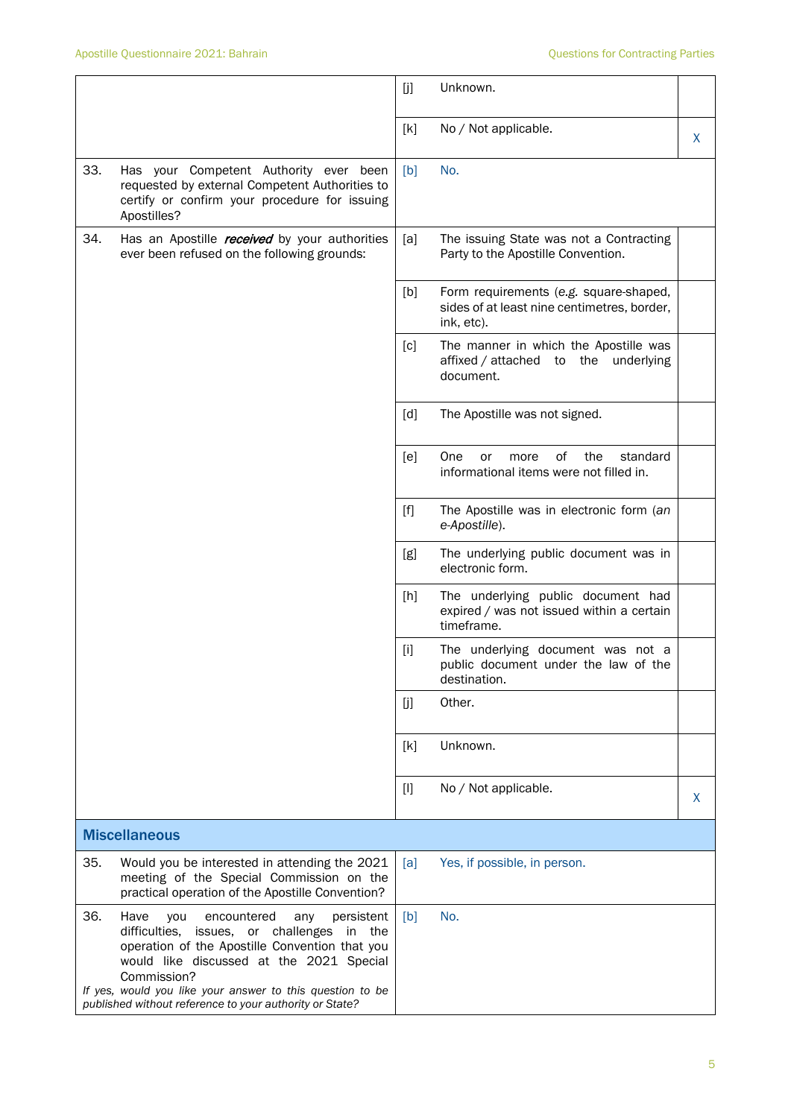|     |                                                                                                                                                                                                                                                                                                                                             | [j]   | Unknown.                                                                                            |   |
|-----|---------------------------------------------------------------------------------------------------------------------------------------------------------------------------------------------------------------------------------------------------------------------------------------------------------------------------------------------|-------|-----------------------------------------------------------------------------------------------------|---|
|     |                                                                                                                                                                                                                                                                                                                                             | [k]   | No / Not applicable.                                                                                | X |
| 33. | Has your Competent Authority ever been<br>requested by external Competent Authorities to<br>certify or confirm your procedure for issuing<br>Apostilles?                                                                                                                                                                                    | [b]   | No.                                                                                                 |   |
| 34. | Has an Apostille <i>received</i> by your authorities<br>ever been refused on the following grounds:                                                                                                                                                                                                                                         | [a]   | The issuing State was not a Contracting<br>Party to the Apostille Convention.                       |   |
|     |                                                                                                                                                                                                                                                                                                                                             | [b]   | Form requirements (e.g. square-shaped,<br>sides of at least nine centimetres, border,<br>ink, etc). |   |
|     |                                                                                                                                                                                                                                                                                                                                             | [c]   | The manner in which the Apostille was<br>affixed / attached to the underlying<br>document.          |   |
|     |                                                                                                                                                                                                                                                                                                                                             | [d]   | The Apostille was not signed.                                                                       |   |
|     |                                                                                                                                                                                                                                                                                                                                             | [e]   | One<br>of<br>the<br>standard<br>or<br>more<br>informational items were not filled in.               |   |
|     |                                                                                                                                                                                                                                                                                                                                             | $[f]$ | The Apostille was in electronic form (an<br>e-Apostille).                                           |   |
|     |                                                                                                                                                                                                                                                                                                                                             | [g]   | The underlying public document was in<br>electronic form.                                           |   |
|     |                                                                                                                                                                                                                                                                                                                                             | [h]   | The underlying public document had<br>expired / was not issued within a certain<br>timeframe.       |   |
|     |                                                                                                                                                                                                                                                                                                                                             | $[1]$ | The underlying document was not a<br>public document under the law of the<br>destination.           |   |
|     |                                                                                                                                                                                                                                                                                                                                             | [j]   | Other.                                                                                              |   |
|     |                                                                                                                                                                                                                                                                                                                                             | [k]   | Unknown.                                                                                            |   |
|     |                                                                                                                                                                                                                                                                                                                                             | $[1]$ | No / Not applicable.                                                                                | X |
|     | <b>Miscellaneous</b>                                                                                                                                                                                                                                                                                                                        |       |                                                                                                     |   |
| 35. | Would you be interested in attending the 2021<br>meeting of the Special Commission on the<br>practical operation of the Apostille Convention?                                                                                                                                                                                               | [a]   | Yes, if possible, in person.                                                                        |   |
| 36. | Have<br>you<br>encountered<br>persistent<br>any<br>difficulties,<br>issues, or challenges<br>in<br>the<br>operation of the Apostille Convention that you<br>would like discussed at the 2021 Special<br>Commission?<br>If yes, would you like your answer to this question to be<br>published without reference to your authority or State? | [b]   | No.                                                                                                 |   |